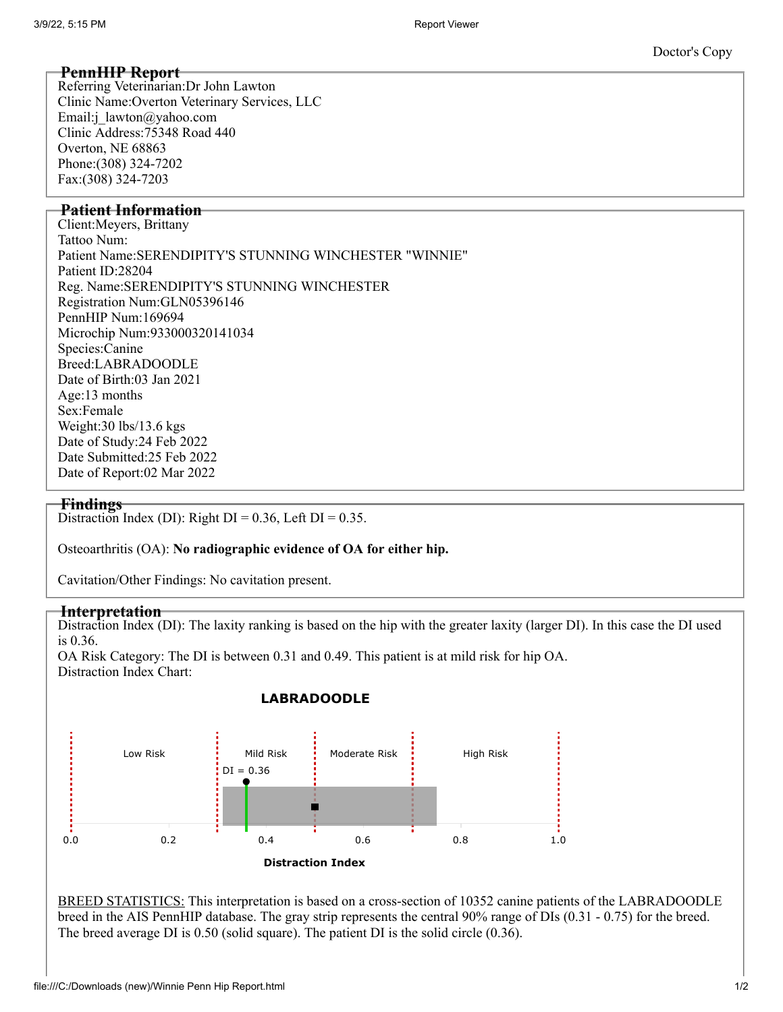# **PennHIP Report**

Referring Veterinarian:Dr John Lawton Clinic Name:Overton Veterinary Services, LLC Email:j\_lawton@yahoo.com Clinic Address:75348 Road 440 Overton, NE 68863 Phone:(308) 324-7202 Fax:(308) 324-7203

# **Patient Information**

Client:Meyers, Brittany Tattoo Num: Patient Name:SERENDIPITY'S STUNNING WINCHESTER "WINNIE" Patient ID:28204 Reg. Name:SERENDIPITY'S STUNNING WINCHESTER Registration Num:GLN05396146 PennHIP Num:169694 Microchip Num:933000320141034 Species:Canine Breed:LABRADOODLE Date of Birth:03 Jan 2021 Age:13 months Sex:Female Weight:30 lbs/13.6 kgs Date of Study:24 Feb 2022 Date Submitted:25 Feb 2022 Date of Report:02 Mar 2022

### **Findings**

Distraction Index (DI): Right  $DI = 0.36$ , Left  $DI = 0.35$ .

Osteoarthritis (OA): **No radiographic evidence of OA for either hip.**

Cavitation/Other Findings: No cavitation present.

### **Interpretation**

Distraction Index (DI): The laxity ranking is based on the hip with the greater laxity (larger DI). In this case the DI used is 0.36.

OA Risk Category: The DI is between 0.31 and 0.49. This patient is at mild risk for hip OA. Distraction Index Chart:



## **LABRADOODLE**

BREED STATISTICS: This interpretation is based on a cross-section of 10352 canine patients of the LABRADOODLE breed in the AIS PennHIP database. The gray strip represents the central 90% range of DIs (0.31 - 0.75) for the breed. The breed average DI is 0.50 (solid square). The patient DI is the solid circle (0.36).